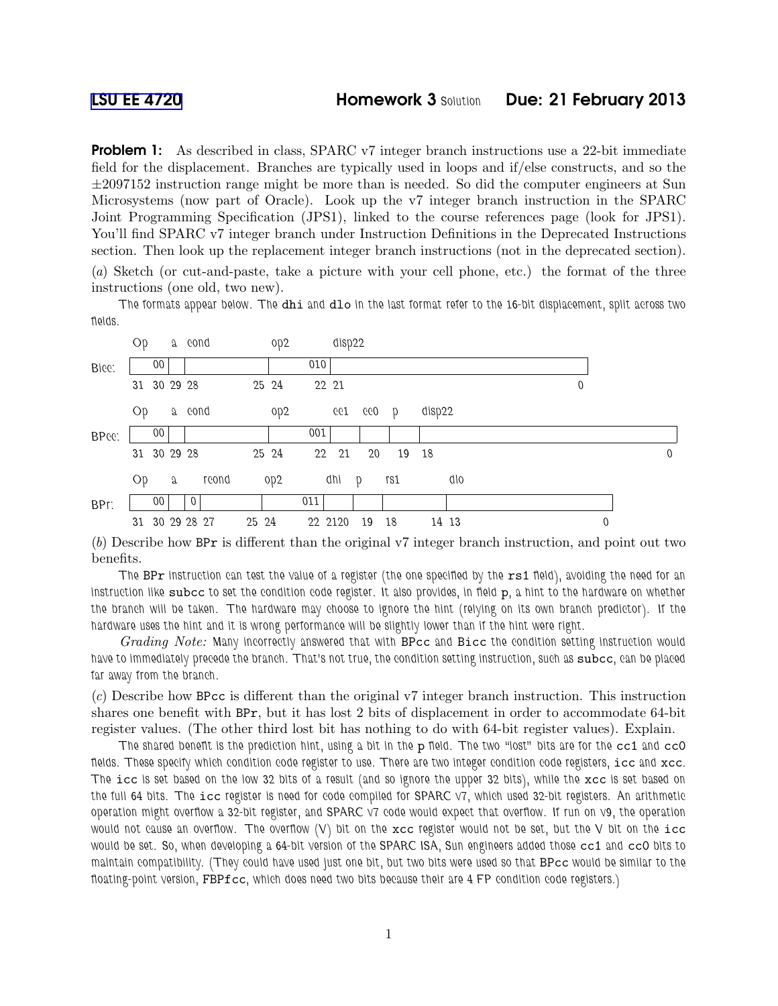**Problem 1:** As described in class, SPARC v7 integer branch instructions use a 22-bit immediate field for the displacement. Branches are typically used in loops and if/else constructs, and so the  $\pm 2097152$  instruction range might be more than is needed. So did the computer engineers at Sun Microsystems (now part of Oracle). Look up the v7 integer branch instruction in the SPARC Joint Programming Specification (JPS1), linked to the course references page (look for JPS1). You'll find SPARC v7 integer branch under Instruction Definitions in the Deprecated Instructions section. Then look up the replacement integer branch instructions (not in the deprecated section). (a) Sketch (or cut-and-paste, take a picture with your cell phone, etc.) the format of the three instructions (one old, two new).

*The formats appear below. The* dhi *and* dlo *in the last format refer to the 16-bit displacement, split across two fields.*



(b) Describe how BPr is different than the original v7 integer branch instruction, and point out two benefits.

*The* BPr *instruction can test the value of a register (the one specified by the* rs1 *field), avoiding the need for an instruction like* subcc *to set the condition code register. It also provides, in field* p*, a hint to the hardware on whether the branch will be taken. The hardware may choose to ignore the hint (relying on its own branch predictor). If the hardware uses the hint and it is wrong performance will be slightly lower than if the hint were right.*

Grading Note: *Many incorrectly answered that with* BPcc *and* Bicc *the condition setting instruction would have to immediately precede the branch. That's not true, the condition setting instruction, such as* subcc*, can be placed far away from the branch.*

(c) Describe how BPcc is different than the original v7 integer branch instruction. This instruction shares one benefit with BPr, but it has lost 2 bits of displacement in order to accommodate 64-bit register values. (The other third lost bit has nothing to do with 64-bit register values). Explain.

*The shared benefit is the prediction hint, using a bit in the* p *field. The two "lost" bits are for the* cc1 *and* cc0 *fields. These specify which condition code register to use. There are two integer condition code registers,* icc *and* xcc*. The* icc *is set based on the low 32 bits of a result (and so ignore the upper 32 bits), while the* xcc *is set based on the full 64 bits. The* icc *register is need for code compiled for SPARC v7, which used 32-bit registers. An arithmetic operation might overflow a 32-bit register, and SPARC v7 code would expect that overflow. If run on v9, the operation would not cause an overflow. The overflow (V) bit on the* xcc *register would not be set, but the V bit on the* icc *would be set. So, when developing a 64-bit version of the SPARC ISA, Sun engineers added those* cc1 *and* cc0 *bits to maintain compatibility. (They could have used just one bit, but two bits were used so that* BPcc *would be similar to the floating-point version,* FBPfcc*, which does need two bits because their are 4 FP condition code registers.)*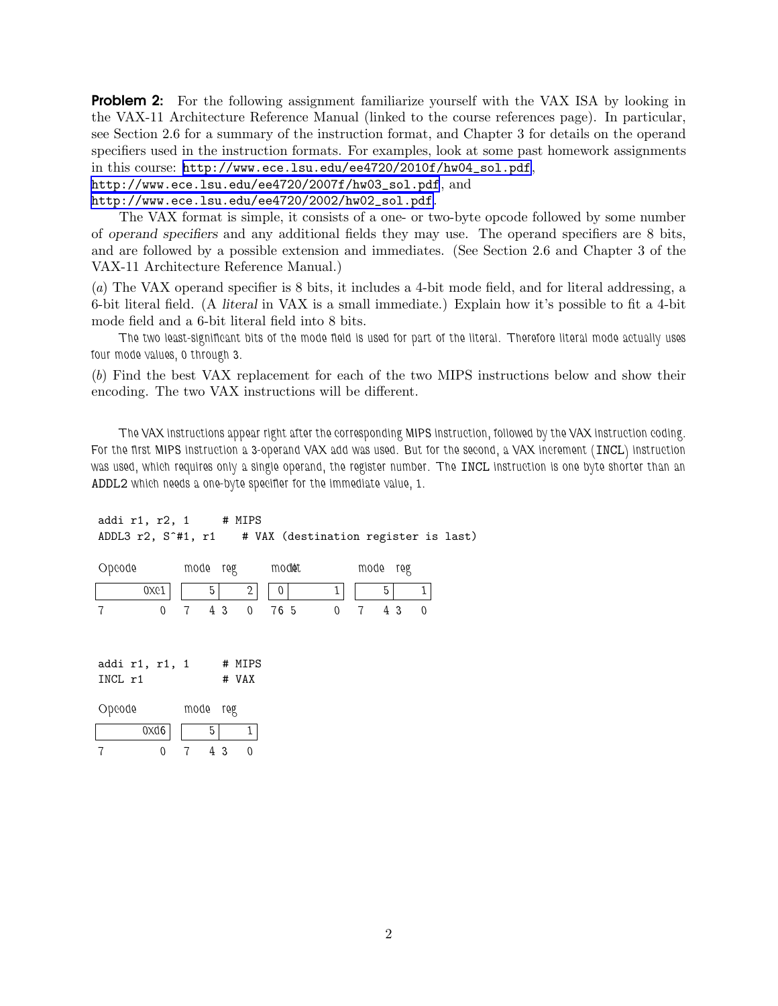**Problem 2:** For the following assignment familiarize yourself with the VAX ISA by looking in the VAX-11 Architecture Reference Manual (linked to the course references page). In particular, see Section 2.6 for a summary of the instruction format, and Chapter 3 for details on the operand specifiers used in the instruction formats. For examples, look at some past homework assignments in this course: [http://www.ece.lsu.edu/ee4720/2010f/hw04\\_sol.pdf](http://www.ece.lsu.edu/ee4720/2010f/hw04_sol.pdf),

[http://www.ece.lsu.edu/ee4720/2007f/hw03\\_sol.pdf](http://www.ece.lsu.edu/ee4720/2007f/hw03_sol.pdf), and

[http://www.ece.lsu.edu/ee4720/2002/hw02\\_sol.pdf](http://www.ece.lsu.edu/ee4720/2002/hw02_sol.pdf).

The VAX format is simple, it consists of a one- or two-byte opcode followed by some number of operand specifiers and any additional fields they may use. The operand specifiers are 8 bits, and are followed by a possible extension and immediates. (See Section 2.6 and Chapter 3 of the VAX-11 Architecture Reference Manual.)

(a) The VAX operand specifier is 8 bits, it includes a 4-bit mode field, and for literal addressing, a 6-bit literal field. (A literal in VAX is a small immediate.) Explain how it's possible to fit a 4-bit mode field and a 6-bit literal field into 8 bits.

*The two least-significant bits of the mode field is used for part of the literal. Therefore literal mode actually uses four mode values, 0 through 3.*

(b) Find the best VAX replacement for each of the two MIPS instructions below and show their encoding. The two VAX instructions will be different.

*The VAX instructions appear right after the corresponding MIPS instruction, followed by the VAX instruction coding. For the first MIPS instruction a 3-operand VAX add was used. But for the second, a VAX increment (*INCL*) instruction was used, which requires only a single operand, the register number. The* INCL *instruction is one byte shorter than an* ADDL2 *which needs a one-byte specifier for the immediate value, 1.*

| ADDL3 r2, S <sup>2</sup> #1, r1 # VAX (destination register is las |          |              |        |                |   |          |             |
|--------------------------------------------------------------------|----------|--------------|--------|----------------|---|----------|-------------|
| Opcode                                                             | mode reg |              | modiet |                |   | mode reg |             |
| 0xc1                                                               | 5        | $\mathbf 2$  |        |                |   | 5        |             |
| $\mathbf{0}$                                                       |          | 7 4 3 0 76 5 |        | $\overline{0}$ | 7 | 4 3      | $\mathbf 0$ |
|                                                                    |          |              |        |                |   |          |             |
| addi r1, r1, 1 $\#$ MIPS                                           |          |              |        |                |   |          |             |
| INCL r1                                                            |          | # VAX        |        |                |   |          |             |
| opcode                                                             | mode     | reg          |        |                |   |          |             |

*0xd6*

*5 7 4*

*1 3 0*

*7 0*

| addi r1, r2, 1     | # MIPS |                                      |  |
|--------------------|--------|--------------------------------------|--|
| ADDL3 r2, S^#1, r1 |        | # VAX (destination register is last) |  |